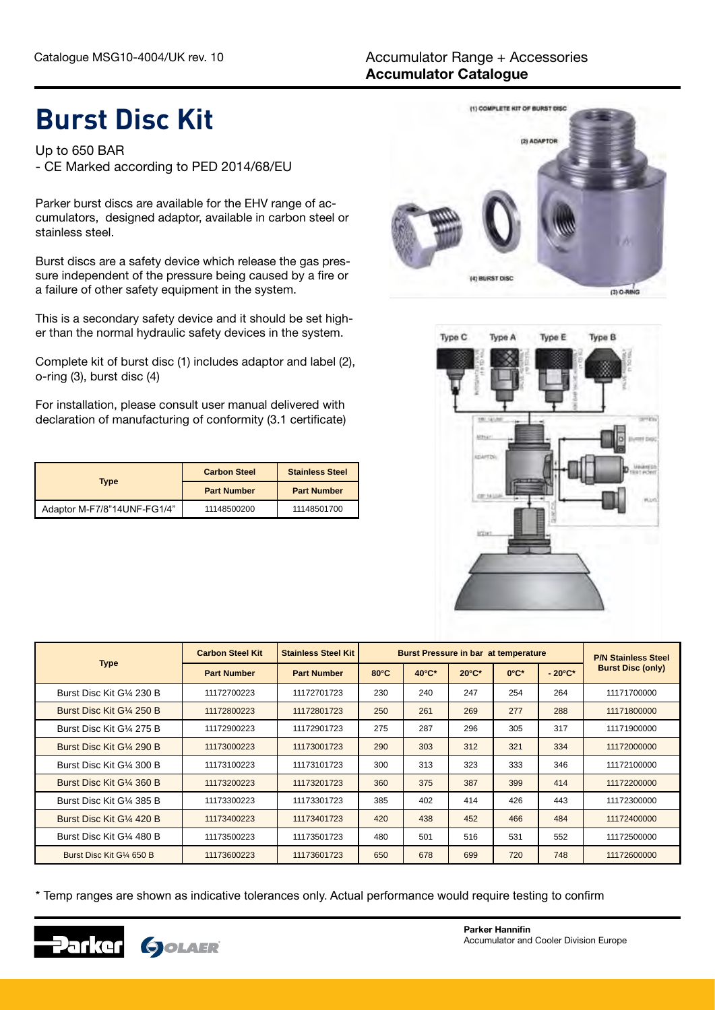## **Burst Disc Kit**

Up to 650 BAR - CE Marked according to PED 2014/68/EU

Parker burst discs are available for the EHV range of accumulators, designed adaptor, available in carbon steel or stainless steel.

Burst discs are a safety device which release the gas pressure independent of the pressure being caused by a fire or a failure of other safety equipment in the system.

This is a secondary safety device and it should be set higher than the normal hydraulic safety devices in the system.

Complete kit of burst disc (1) includes adaptor and label (2), o-ring (3), burst disc (4)

For installation, please consult user manual delivered with declaration of manufacturing of conformity (3.1 certificate)

| <b>Type</b>                 | <b>Carbon Steel</b> | <b>Stainless Steel</b> |  |  |
|-----------------------------|---------------------|------------------------|--|--|
|                             | <b>Part Number</b>  | <b>Part Number</b>     |  |  |
| Adaptor M-F7/8"14UNF-FG1/4" | 11148500200         | 11148501700            |  |  |





|                           | <b>Carbon Steel Kit</b> | <b>Stainless Steel Kit</b> | <b>Burst Pressure in bar at temperature</b> |       |                 |                  |                  | <b>P/N Stainless Steel</b> |
|---------------------------|-------------------------|----------------------------|---------------------------------------------|-------|-----------------|------------------|------------------|----------------------------|
| <b>Type</b>               | <b>Part Number</b>      | <b>Part Number</b>         | $80^{\circ}$ C                              | 40°C* | $20^{\circ}$ C* | $0^{\circ}C^{*}$ | $-20^{\circ}$ C* | <b>Burst Disc (only)</b>   |
| Burst Disc Kit G1/4 230 B | 11172700223             | 11172701723                | 230                                         | 240   | 247             | 254              | 264              | 11171700000                |
| Burst Disc Kit G1/4 250 B | 11172800223             | 11172801723                | 250                                         | 261   | 269             | 277              | 288              | 11171800000                |
| Burst Disc Kit G1/4 275 B | 11172900223             | 11172901723                | 275                                         | 287   | 296             | 305              | 317              | 11171900000                |
| Burst Disc Kit G1/4 290 B | 11173000223             | 11173001723                | 290                                         | 303   | 312             | 321              | 334              | 11172000000                |
| Burst Disc Kit G1/4 300 B | 11173100223             | 11173101723                | 300                                         | 313   | 323             | 333              | 346              | 11172100000                |
| Burst Disc Kit G1/4 360 B | 11173200223             | 11173201723                | 360                                         | 375   | 387             | 399              | 414              | 11172200000                |
| Burst Disc Kit G1⁄4 385 B | 11173300223             | 11173301723                | 385                                         | 402   | 414             | 426              | 443              | 11172300000                |
| Burst Disc Kit G1/4 420 B | 11173400223             | 11173401723                | 420                                         | 438   | 452             | 466              | 484              | 11172400000                |
| Burst Disc Kit G1/4 480 B | 11173500223             | 11173501723                | 480                                         | 501   | 516             | 531              | 552              | 11172500000                |
| Burst Disc Kit G1/4 650 B | 11173600223             | 11173601723                | 650                                         | 678   | 699             | 720              | 748              | 11172600000                |

\* Temp ranges are shown as indicative tolerances only. Actual performance would require testing to confirm

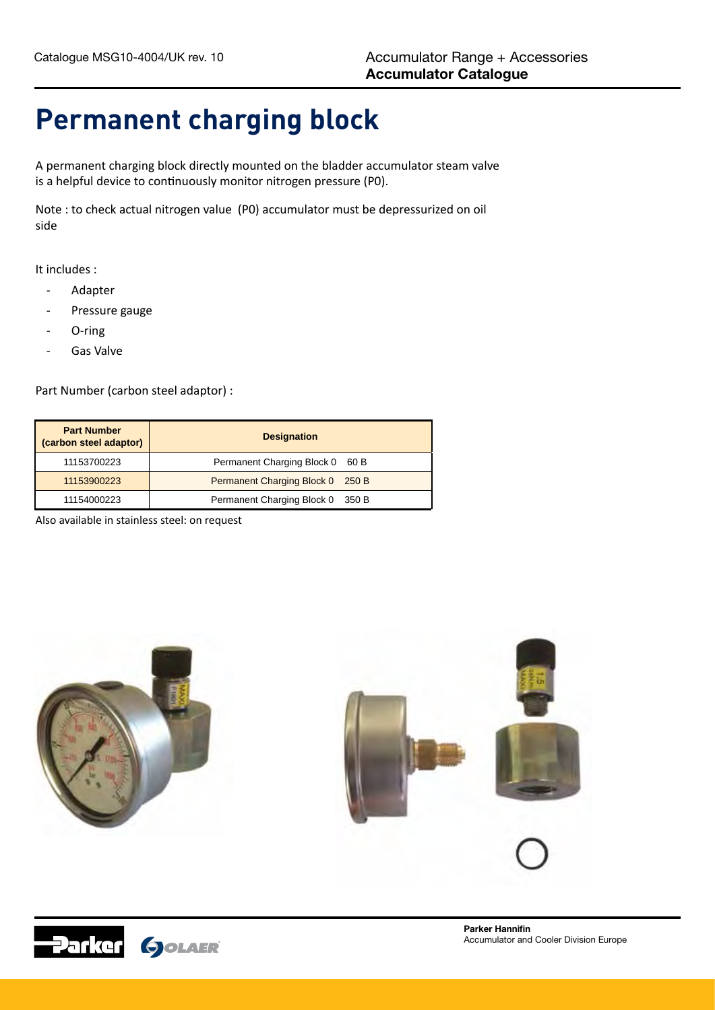## **Permanent charging block**

A permanent charging block directly mounted on the bladder accumulator steam valve is a helpful device to continuously monitor nitrogen pressure (P0).

Note : to check actual nitrogen value (P0) accumulator must be depressurized on oil side

It includes :

- **Adapter**
- Pressure gauge
- O-ring
- Gas Valve

Part Number (carbon steel adaptor) :

| <b>Part Number</b><br>(carbon steel adaptor) | <b>Designation</b>               |
|----------------------------------------------|----------------------------------|
| 11153700223                                  | Permanent Charging Block 0 60 B  |
| 11153900223                                  | Permanent Charging Block 0 250 B |
| 11154000223                                  | Permanent Charging Block 0 350 B |

Also available in stainless steel: on request